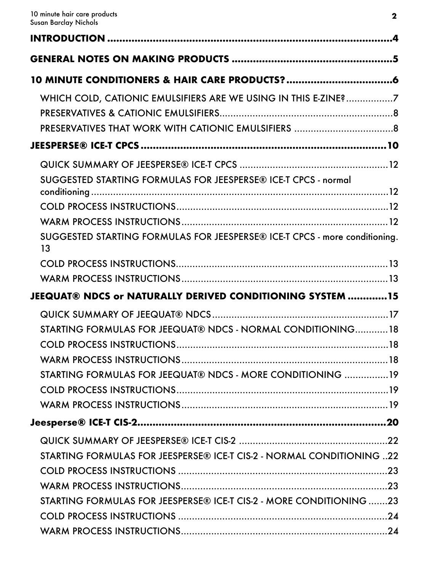| WHICH COLD, CATIONIC EMULSIFIERS ARE WE USING IN THIS E-ZINE?7                   |  |
|----------------------------------------------------------------------------------|--|
|                                                                                  |  |
|                                                                                  |  |
|                                                                                  |  |
|                                                                                  |  |
| SUGGESTED STARTING FORMULAS FOR JEESPERSE® ICE-T CPCS - normal                   |  |
|                                                                                  |  |
|                                                                                  |  |
| SUGGESTED STARTING FORMULAS FOR JEESPERSE® ICE-T CPCS - more conditioning.<br>13 |  |
|                                                                                  |  |
| <b>WARM PROCESS INSTRUCTIONS</b>                                                 |  |
|                                                                                  |  |
| <b>JEEQUAT® NDCS or NATURALLY DERIVED CONDITIONING SYSTEM 15</b>                 |  |
|                                                                                  |  |
| STARTING FORMULAS FOR JEEQUAT® NDCS - NORMAL CONDITIONING18                      |  |
|                                                                                  |  |
|                                                                                  |  |
| STARTING FORMULAS FOR JEEQUAT® NDCS - MORE CONDITIONING 19                       |  |
|                                                                                  |  |
|                                                                                  |  |
|                                                                                  |  |
|                                                                                  |  |
| STARTING FORMULAS FOR JEESPERSE® ICE-T CIS-2 - NORMAL CONDITIONING 22            |  |
|                                                                                  |  |
|                                                                                  |  |
| STARTING FORMULAS FOR JEESPERSE® ICE-T CIS-2 - MORE CONDITIONING 23              |  |
|                                                                                  |  |